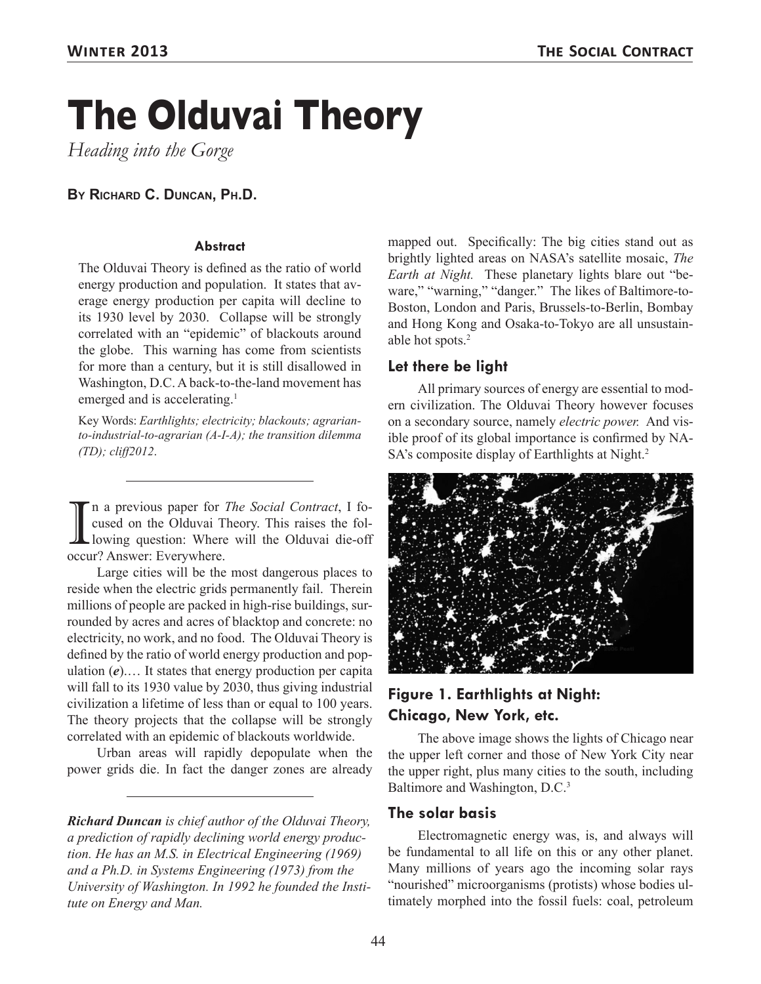# **The Olduvai Theory**

*Heading into the Gorge*

#### **By Richard C. Duncan, Ph.D.**

#### **Abstract**

The Olduvai Theory is defined as the ratio of world energy production and population. It states that average energy production per capita will decline to its 1930 level by 2030. Collapse will be strongly correlated with an "epidemic" of blackouts around the globe. This warning has come from scientists for more than a century, but it is still disallowed in Washington, D.C. A back-to-the-land movement has emerged and is accelerating.<sup>1</sup>

Key Words: *Earthlights; electricity; blackouts; agrarianto-industrial-to-agrarian (A-I-A); the transition dilemma (TD); cliff2012*.

I a previous paper for<br>cused on the Olduvai T<br>occur? Answer: Everywhere. n a previous paper for *The Social Contract*, I focused on the Olduvai Theory. This raises the following question: Where will the Olduvai die-off

Large cities will be the most dangerous places to reside when the electric grids permanently fail. Therein millions of people are packed in high-rise buildings, surrounded by acres and acres of blacktop and concrete: no electricity, no work, and no food. The Olduvai Theory is defined by the ratio of world energy production and population (*e*).… It states that energy production per capita will fall to its 1930 value by 2030, thus giving industrial civilization a lifetime of less than or equal to 100 years. The theory projects that the collapse will be strongly correlated with an epidemic of blackouts worldwide.

Urban areas will rapidly depopulate when the power grids die. In fact the danger zones are already

*Richard Duncan is chief author of the Olduvai Theory, a prediction of rapidly declining world energy production. He has an M.S. in Electrical Engineering (1969) and a Ph.D. in Systems Engineering (1973) from the University of Washington. In 1992 he founded the Institute on Energy and Man.*

mapped out. Specifically: The big cities stand out as brightly lighted areas on NASA's satellite mosaic, *The Earth at Night.* These planetary lights blare out "beware," "warning," "danger." The likes of Baltimore-to-Boston, London and Paris, Brussels-to-Berlin, Bombay and Hong Kong and Osaka-to-Tokyo are all unsustainable hot spots.2

#### **Let there be light**

All primary sources of energy are essential to modern civilization. The Olduvai Theory however focuses on a secondary source, namely *electric power.* And visible proof of its global importance is confirmed by NA-SA's composite display of Earthlights at Night.<sup>2</sup>



## **Figure 1. Earthlights at Night: Chicago, New York, etc.**

The above image shows the lights of Chicago near the upper left corner and those of New York City near the upper right, plus many cities to the south, including Baltimore and Washington, D.C.<sup>3</sup>

#### **The solar basis**

Electromagnetic energy was, is, and always will be fundamental to all life on this or any other planet. Many millions of years ago the incoming solar rays "nourished" microorganisms (protists) whose bodies ultimately morphed into the fossil fuels: coal, petroleum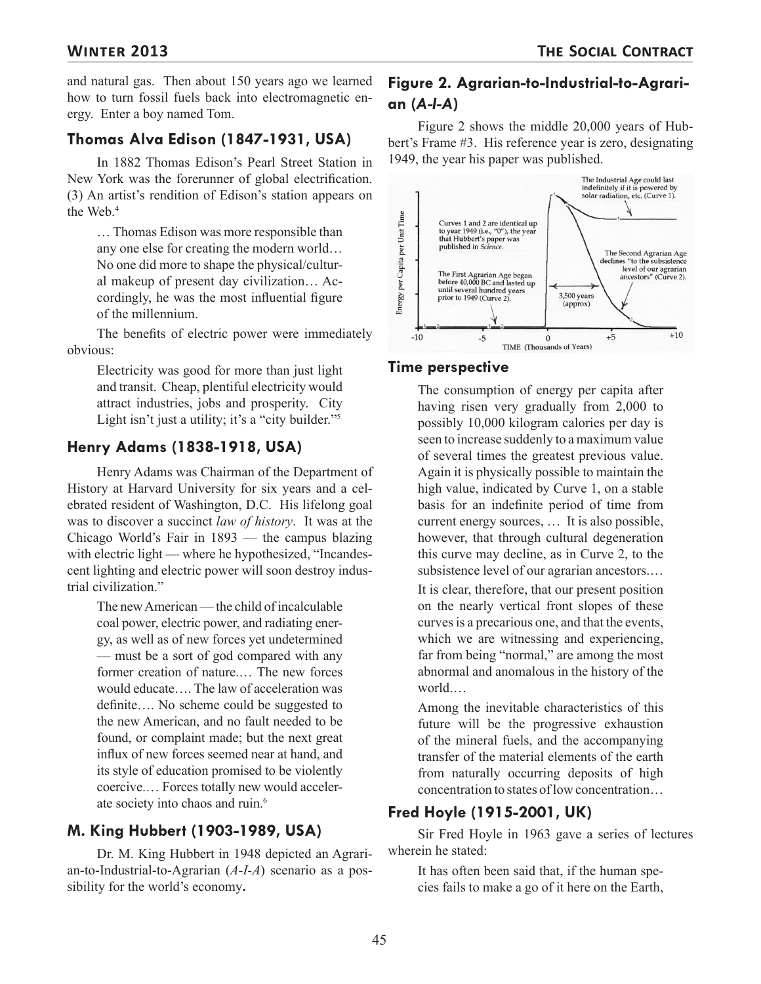and natural gas. Then about 150 years ago we learned how to turn fossil fuels back into electromagnetic energy. Enter a boy named Tom.

#### **Thomas Alva Edison (1847-1931, USA)**

In 1882 Thomas Edison's Pearl Street Station in New York was the forerunner of global electrification. (3) An artist's rendition of Edison's station appears on the Web.<sup>4</sup>

… Thomas Edison was more responsible than any one else for creating the modern world… No one did more to shape the physical/cultural makeup of present day civilization… Accordingly, he was the most influential figure of the millennium.

The benefits of electric power were immediately obvious:

Electricity was good for more than just light and transit. Cheap, plentiful electricity would attract industries, jobs and prosperity. City Light isn't just a utility; it's a "city builder."<sup>5</sup>

#### **Henry Adams (1838-1918, USA)**

Henry Adams was Chairman of the Department of History at Harvard University for six years and a celebrated resident of Washington, D.C. His lifelong goal was to discover a succinct *law of history*. It was at the Chicago World's Fair in 1893 — the campus blazing with electric light — where he hypothesized, "Incandescent lighting and electric power will soon destroy industrial civilization."

The new American — the child of incalculable coal power, electric power, and radiating energy, as well as of new forces yet undetermined — must be a sort of god compared with any former creation of nature.… The new forces would educate…. The law of acceleration was definite…. No scheme could be suggested to the new American, and no fault needed to be found, or complaint made; but the next great influx of new forces seemed near at hand, and its style of education promised to be violently coercive.… Forces totally new would accelerate society into chaos and ruin.<sup>6</sup>

## **M. King Hubbert (1903-1989, USA)**

Dr. M. King Hubbert in 1948 depicted an Agrarian-to-Industrial-to-Agrarian (*A-I-A*) scenario as a possibility for the world's economy**.**

## **Figure 2. Agrarian-to-Industrial-to-Agrarian (***A-I-A***)**

Figure 2 shows the middle 20,000 years of Hubbert's Frame #3. His reference year is zero, designating 1949, the year his paper was published.



#### **Time perspective**

The consumption of energy per capita after having risen very gradually from 2,000 to possibly 10,000 kilogram calories per day is seen to increase suddenly to a maximum value of several times the greatest previous value. Again it is physically possible to maintain the high value, indicated by Curve 1, on a stable basis for an indefinite period of time from current energy sources, … It is also possible, however, that through cultural degeneration this curve may decline, as in Curve 2, to the subsistence level of our agrarian ancestors.…

It is clear, therefore, that our present position on the nearly vertical front slopes of these curves is a precarious one, and that the events, which we are witnessing and experiencing, far from being "normal," are among the most abnormal and anomalous in the history of the world.…

Among the inevitable characteristics of this future will be the progressive exhaustion of the mineral fuels, and the accompanying transfer of the material elements of the earth from naturally occurring deposits of high concentration to states of low concentration…

## **Fred Hoyle (1915-2001, UK)**

Sir Fred Hoyle in 1963 gave a series of lectures wherein he stated:

It has often been said that, if the human species fails to make a go of it here on the Earth,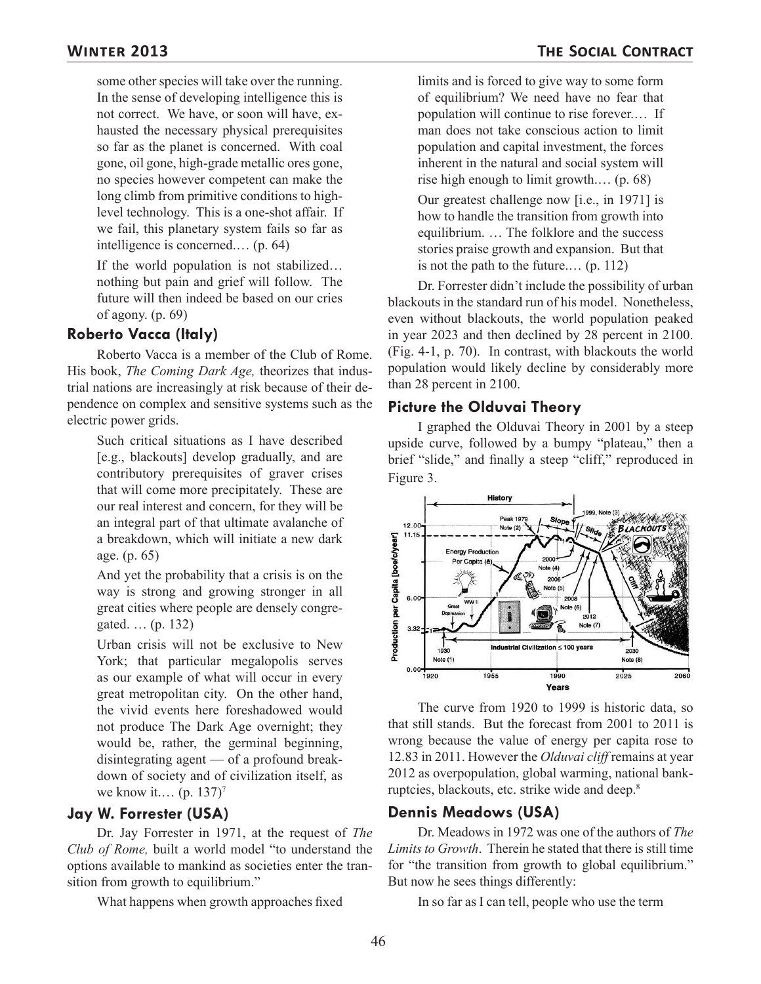some other species will take over the running. In the sense of developing intelligence this is not correct. We have, or soon will have, exhausted the necessary physical prerequisites so far as the planet is concerned. With coal gone, oil gone, high-grade metallic ores gone, no species however competent can make the long climb from primitive conditions to highlevel technology. This is a one-shot affair. If we fail, this planetary system fails so far as intelligence is concerned.… (p. 64)

If the world population is not stabilized… nothing but pain and grief will follow. The future will then indeed be based on our cries of agony. (p. 69)

#### **Roberto Vacca (Italy)**

Roberto Vacca is a member of the Club of Rome. His book, *The Coming Dark Age,* theorizes that industrial nations are increasingly at risk because of their dependence on complex and sensitive systems such as the electric power grids.

Such critical situations as I have described [e.g., blackouts] develop gradually, and are contributory prerequisites of graver crises that will come more precipitately. These are our real interest and concern, for they will be an integral part of that ultimate avalanche of a breakdown, which will initiate a new dark age. (p. 65)

And yet the probability that a crisis is on the way is strong and growing stronger in all great cities where people are densely congregated. … (p. 132)

Urban crisis will not be exclusive to New York; that particular megalopolis serves as our example of what will occur in every great metropolitan city. On the other hand, the vivid events here foreshadowed would not produce The Dark Age overnight; they would be, rather, the germinal beginning, disintegrating agent — of a profound breakdown of society and of civilization itself, as we know it.... (p. 137)<sup>7</sup>

#### **Jay W. Forrester (USA)**

Dr. Jay Forrester in 1971, at the request of *The Club of Rome,* built a world model "to understand the options available to mankind as societies enter the transition from growth to equilibrium."

What happens when growth approaches fixed

limits and is forced to give way to some form of equilibrium? We need have no fear that population will continue to rise forever.… If man does not take conscious action to limit population and capital investment, the forces inherent in the natural and social system will rise high enough to limit growth.… (p. 68)

Our greatest challenge now [i.e., in 1971] is how to handle the transition from growth into equilibrium. … The folklore and the success stories praise growth and expansion. But that is not the path to the future.… (p. 112)

Dr. Forrester didn't include the possibility of urban blackouts in the standard run of his model. Nonetheless, even without blackouts, the world population peaked in year 2023 and then declined by 28 percent in 2100. (Fig. 4-1, p. 70). In contrast, with blackouts the world population would likely decline by considerably more than 28 percent in 2100.

#### **Picture the Olduvai Theory**

I graphed the Olduvai Theory in 2001 by a steep upside curve, followed by a bumpy "plateau," then a brief "slide," and finally a steep "cliff," reproduced in Figure 3.



The curve from 1920 to 1999 is historic data, so that still stands. But the forecast from 2001 to 2011 is wrong because the value of energy per capita rose to 12.83 in 2011. However the *Olduvai cliff* remains at year 2012 as overpopulation, global warming, national bankruptcies, blackouts, etc. strike wide and deep.8

#### **Dennis Meadows (USA)**

Dr. Meadows in 1972 was one of the authors of *The Limits to Growth*. Therein he stated that there is still time for "the transition from growth to global equilibrium." But now he sees things differently:

In so far as I can tell, people who use the term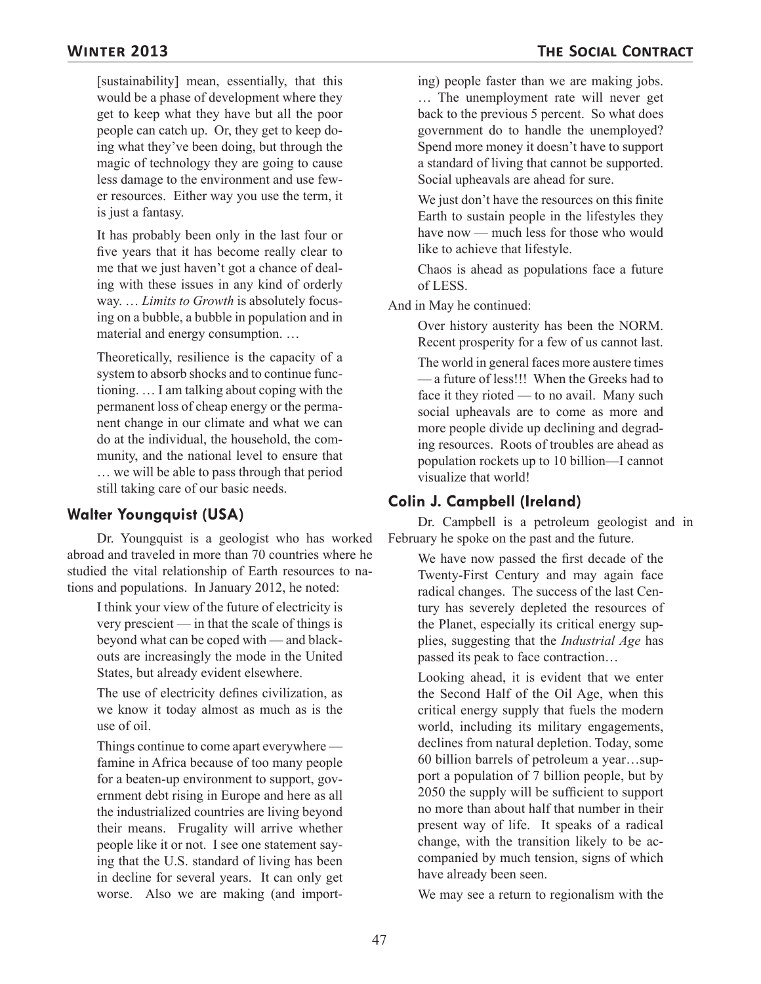[sustainability] mean, essentially, that this would be a phase of development where they get to keep what they have but all the poor people can catch up. Or, they get to keep doing what they've been doing, but through the magic of technology they are going to cause less damage to the environment and use fewer resources. Either way you use the term, it is just a fantasy.

It has probably been only in the last four or five years that it has become really clear to me that we just haven't got a chance of dealing with these issues in any kind of orderly way. … *Limits to Growth* is absolutely focusing on a bubble, a bubble in population and in material and energy consumption. …

Theoretically, resilience is the capacity of a system to absorb shocks and to continue functioning. … I am talking about coping with the permanent loss of cheap energy or the permanent change in our climate and what we can do at the individual, the household, the community, and the national level to ensure that … we will be able to pass through that period still taking care of our basic needs.

## **Walter Youngquist (USA)**

Dr. Youngquist is a geologist who has worked abroad and traveled in more than 70 countries where he studied the vital relationship of Earth resources to nations and populations. In January 2012, he noted:

I think your view of the future of electricity is very prescient — in that the scale of things is beyond what can be coped with — and blackouts are increasingly the mode in the United States, but already evident elsewhere.

The use of electricity defines civilization, as we know it today almost as much as is the use of oil.

Things continue to come apart everywhere famine in Africa because of too many people for a beaten-up environment to support, government debt rising in Europe and here as all the industrialized countries are living beyond their means. Frugality will arrive whether people like it or not. I see one statement saying that the U.S. standard of living has been in decline for several years. It can only get worse. Also we are making (and importing) people faster than we are making jobs. … The unemployment rate will never get back to the previous 5 percent. So what does government do to handle the unemployed? Spend more money it doesn't have to support a standard of living that cannot be supported. Social upheavals are ahead for sure.

We just don't have the resources on this finite Earth to sustain people in the lifestyles they have now — much less for those who would like to achieve that lifestyle.

Chaos is ahead as populations face a future of LESS.

And in May he continued:

Over history austerity has been the NORM. Recent prosperity for a few of us cannot last.

The world in general faces more austere times — a future of less!!! When the Greeks had to face it they rioted — to no avail. Many such social upheavals are to come as more and more people divide up declining and degrading resources. Roots of troubles are ahead as population rockets up to 10 billion—I cannot visualize that world!

## **Colin J. Campbell (Ireland)**

Dr. Campbell is a petroleum geologist and in February he spoke on the past and the future.

We have now passed the first decade of the Twenty-First Century and may again face radical changes. The success of the last Century has severely depleted the resources of the Planet, especially its critical energy supplies, suggesting that the *Industrial Age* has passed its peak to face contraction…

Looking ahead, it is evident that we enter the Second Half of the Oil Age, when this critical energy supply that fuels the modern world, including its military engagements, declines from natural depletion. Today, some 60 billion barrels of petroleum a year…support a population of 7 billion people, but by 2050 the supply will be sufficient to support no more than about half that number in their present way of life. It speaks of a radical change, with the transition likely to be accompanied by much tension, signs of which have already been seen.

We may see a return to regionalism with the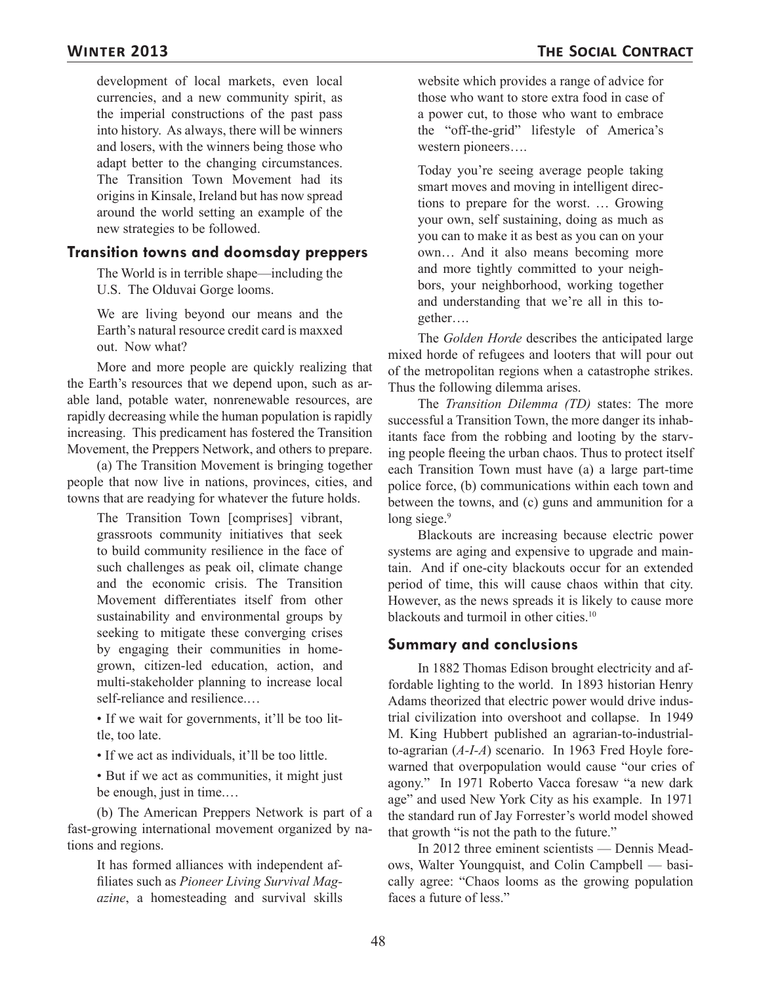development of local markets, even local currencies, and a new community spirit, as the imperial constructions of the past pass into history. As always, there will be winners and losers, with the winners being those who adapt better to the changing circumstances. The Transition Town Movement had its origins in Kinsale, Ireland but has now spread around the world setting an example of the new strategies to be followed.

#### **Transition towns and doomsday preppers**

The World is in terrible shape—including the U.S. The Olduvai Gorge looms.

We are living beyond our means and the Earth's natural resource credit card is maxxed out. Now what?

More and more people are quickly realizing that the Earth's resources that we depend upon, such as arable land, potable water, nonrenewable resources, are rapidly decreasing while the human population is rapidly increasing. This predicament has fostered the Transition Movement, the Preppers Network, and others to prepare.

(a) The Transition Movement is bringing together people that now live in nations, provinces, cities, and towns that are readying for whatever the future holds.

The Transition Town [comprises] vibrant, grassroots community initiatives that seek to build community resilience in the face of such challenges as peak oil, climate change and the economic crisis. The Transition Movement differentiates itself from other sustainability and environmental groups by seeking to mitigate these converging crises by engaging their communities in homegrown, citizen-led education, action, and multi-stakeholder planning to increase local self-reliance and resilience.…

• If we wait for governments, it'll be too little, too late.

• If we act as individuals, it'll be too little.

• But if we act as communities, it might just be enough, just in time.…

(b) The American Preppers Network is part of a fast-growing international movement organized by nations and regions.

It has formed alliances with independent affiliates such as *Pioneer Living Survival Magazine*, a homesteading and survival skills website which provides a range of advice for those who want to store extra food in case of a power cut, to those who want to embrace the "off-the-grid" lifestyle of America's western pioneers….

Today you're seeing average people taking smart moves and moving in intelligent directions to prepare for the worst. … Growing your own, self sustaining, doing as much as you can to make it as best as you can on your own… And it also means becoming more and more tightly committed to your neighbors, your neighborhood, working together and understanding that we're all in this together….

The *Golden Horde* describes the anticipated large mixed horde of refugees and looters that will pour out of the metropolitan regions when a catastrophe strikes. Thus the following dilemma arises.

The *Transition Dilemma (TD)* states: The more successful a Transition Town, the more danger its inhabitants face from the robbing and looting by the starving people fleeing the urban chaos. Thus to protect itself each Transition Town must have (a) a large part-time police force, (b) communications within each town and between the towns, and (c) guns and ammunition for a long siege.<sup>9</sup>

Blackouts are increasing because electric power systems are aging and expensive to upgrade and maintain. And if one-city blackouts occur for an extended period of time, this will cause chaos within that city. However, as the news spreads it is likely to cause more blackouts and turmoil in other cities.<sup>10</sup>

#### **Summary and conclusions**

In 1882 Thomas Edison brought electricity and affordable lighting to the world. In 1893 historian Henry Adams theorized that electric power would drive industrial civilization into overshoot and collapse. In 1949 M. King Hubbert published an agrarian-to-industrialto-agrarian (*A-I-A*) scenario. In 1963 Fred Hoyle forewarned that overpopulation would cause "our cries of agony." In 1971 Roberto Vacca foresaw "a new dark age" and used New York City as his example. In 1971 the standard run of Jay Forrester's world model showed that growth "is not the path to the future."

In 2012 three eminent scientists — Dennis Meadows, Walter Youngquist, and Colin Campbell — basically agree: "Chaos looms as the growing population faces a future of less."